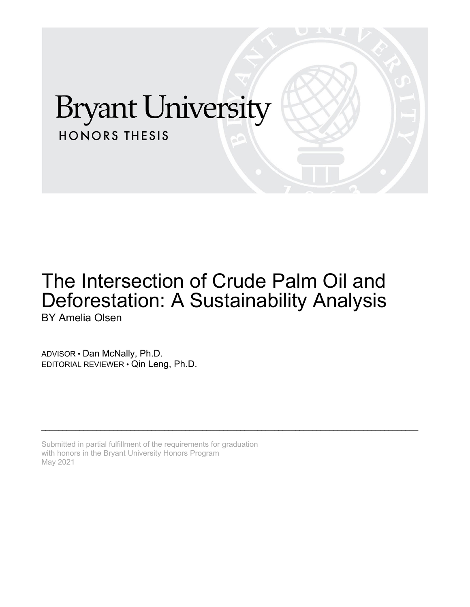# **Bryant University HONORS THESIS**

# The Intersection of Crude Palm Oil and Deforestation: A Sustainability Analysis BY Amelia Olsen

\_\_\_\_\_\_\_\_\_\_\_\_\_\_\_\_\_\_\_\_\_\_\_\_\_\_\_\_\_\_\_\_\_\_\_\_\_\_\_\_\_\_\_\_\_\_\_\_\_\_\_\_\_\_\_\_\_\_\_\_\_\_\_\_\_\_\_\_\_\_\_\_\_\_\_\_\_\_\_\_\_\_\_\_\_\_\_\_\_

ADVISOR • Dan McNally, Ph.D. EDITORIAL REVIEWER • Qin Leng, Ph.D.

Submitted in partial fulfillment of the requirements for graduation with honors in the Bryant University Honors Program May 2021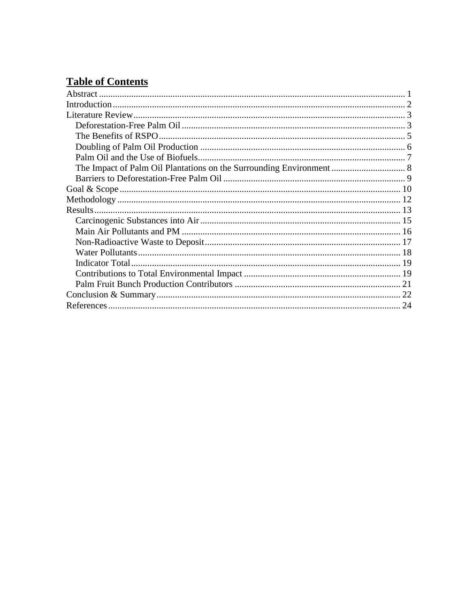## **Table of Contents**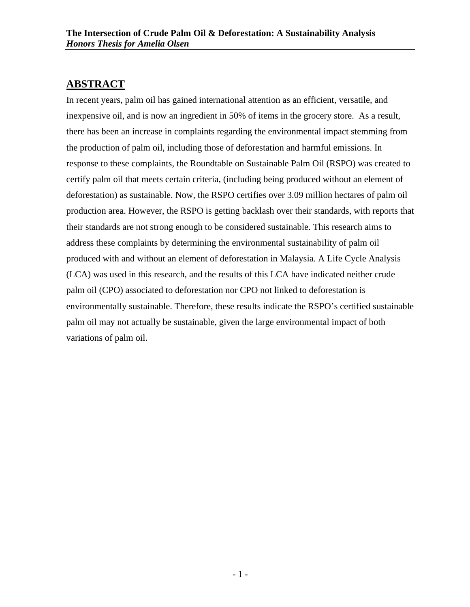## <span id="page-2-0"></span>**ABSTRACT**

In recent years, palm oil has gained international attention as an efficient, versatile, and inexpensive oil, and is now an ingredient in 50% of items in the grocery store. As a result, there has been an increase in complaints regarding the environmental impact stemming from the production of palm oil, including those of deforestation and harmful emissions. In response to these complaints, the Roundtable on Sustainable Palm Oil (RSPO) was created to certify palm oil that meets certain criteria, (including being produced without an element of deforestation) as sustainable. Now, the RSPO certifies over 3.09 million hectares of palm oil production area. However, the RSPO is getting backlash over their standards, with reports that their standards are not strong enough to be considered sustainable. This research aims to address these complaints by determining the environmental sustainability of palm oil produced with and without an element of deforestation in Malaysia. A Life Cycle Analysis (LCA) was used in this research, and the results of this LCA have indicated neither crude palm oil (CPO) associated to deforestation nor CPO not linked to deforestation is environmentally sustainable. Therefore, these results indicate the RSPO's certified sustainable palm oil may not actually be sustainable, given the large environmental impact of both variations of palm oil.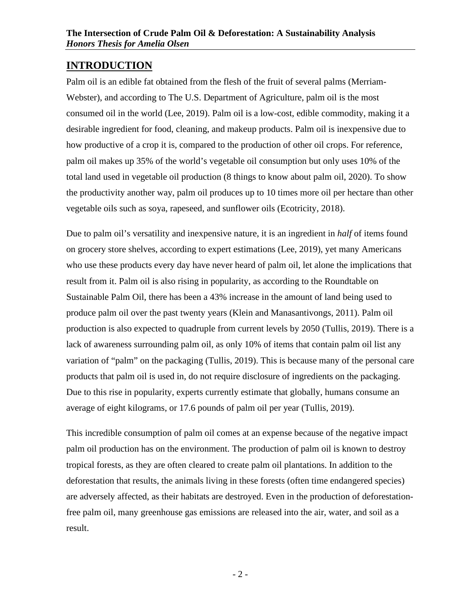## <span id="page-3-0"></span>**INTRODUCTION**

Palm oil is an edible fat obtained from the flesh of the fruit of several palms (Merriam-Webster), and according to The U.S. Department of Agriculture, palm oil is the most consumed oil in the world (Lee, 2019). Palm oil is a low-cost, edible commodity, making it a desirable ingredient for food, cleaning, and makeup products. Palm oil is inexpensive due to how productive of a crop it is, compared to the production of other oil crops. For reference, palm oil makes up 35% of the world's vegetable oil consumption but only uses 10% of the total land used in vegetable oil production (8 things to know about palm oil, 2020). To show the productivity another way, palm oil produces up to 10 times more oil per hectare than other vegetable oils such as soya, rapeseed, and sunflower oils (Ecotricity, 2018).

Due to palm oil's versatility and inexpensive nature, it is an ingredient in *half* of items found on grocery store shelves, according to expert estimations (Lee, 2019), yet many Americans who use these products every day have never heard of palm oil, let alone the implications that result from it. Palm oil is also rising in popularity, as according to the Roundtable on Sustainable Palm Oil, there has been a 43% increase in the amount of land being used to produce palm oil over the past twenty years (Klein and Manasantivongs, 2011). Palm oil production is also expected to quadruple from current levels by 2050 (Tullis, 2019). There is a lack of awareness surrounding palm oil, as only 10% of items that contain palm oil list any variation of "palm" on the packaging (Tullis, 2019). This is because many of the personal care products that palm oil is used in, do not require disclosure of ingredients on the packaging. Due to this rise in popularity, experts currently estimate that globally, humans consume an average of eight kilograms, or 17.6 pounds of palm oil per year (Tullis, 2019).

This incredible consumption of palm oil comes at an expense because of the negative impact palm oil production has on the environment. The production of palm oil is known to destroy tropical forests, as they are often cleared to create palm oil plantations. In addition to the deforestation that results, the animals living in these forests (often time endangered species) are adversely affected, as their habitats are destroyed. Even in the production of deforestationfree palm oil, many greenhouse gas emissions are released into the air, water, and soil as a result.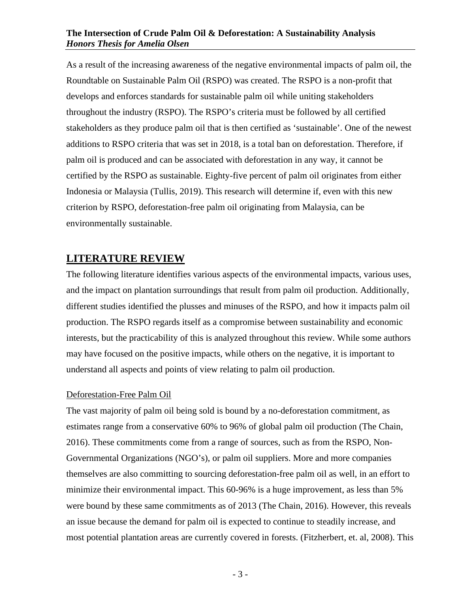As a result of the increasing awareness of the negative environmental impacts of palm oil, the Roundtable on Sustainable Palm Oil (RSPO) was created. The RSPO is a non-profit that develops and enforces standards for sustainable palm oil while uniting stakeholders throughout the industry (RSPO). The RSPO's criteria must be followed by all certified stakeholders as they produce palm oil that is then certified as 'sustainable'. One of the newest additions to RSPO criteria that was set in 2018, is a total ban on deforestation. Therefore, if palm oil is produced and can be associated with deforestation in any way, it cannot be certified by the RSPO as sustainable. Eighty-five percent of palm oil originates from either Indonesia or Malaysia (Tullis, 2019). This research will determine if, even with this new criterion by RSPO, deforestation-free palm oil originating from Malaysia, can be environmentally sustainable.

## <span id="page-4-0"></span>**LITERATURE REVIEW**

The following literature identifies various aspects of the environmental impacts, various uses, and the impact on plantation surroundings that result from palm oil production. Additionally, different studies identified the plusses and minuses of the RSPO, and how it impacts palm oil production. The RSPO regards itself as a compromise between sustainability and economic interests, but the practicability of this is analyzed throughout this review. While some authors may have focused on the positive impacts, while others on the negative, it is important to understand all aspects and points of view relating to palm oil production.

## <span id="page-4-1"></span>Deforestation-Free Palm Oil

The vast majority of palm oil being sold is bound by a no-deforestation commitment, as estimates range from a conservative 60% to 96% of global palm oil production (The Chain, 2016). These commitments come from a range of sources, such as from the RSPO, Non-Governmental Organizations (NGO's), or palm oil suppliers. More and more companies themselves are also committing to sourcing deforestation-free palm oil as well, in an effort to minimize their environmental impact. This 60-96% is a huge improvement, as less than 5% were bound by these same commitments as of 2013 (The Chain, 2016). However, this reveals an issue because the demand for palm oil is expected to continue to steadily increase, and most potential plantation areas are currently covered in forests. (Fitzherbert, et. al, 2008). This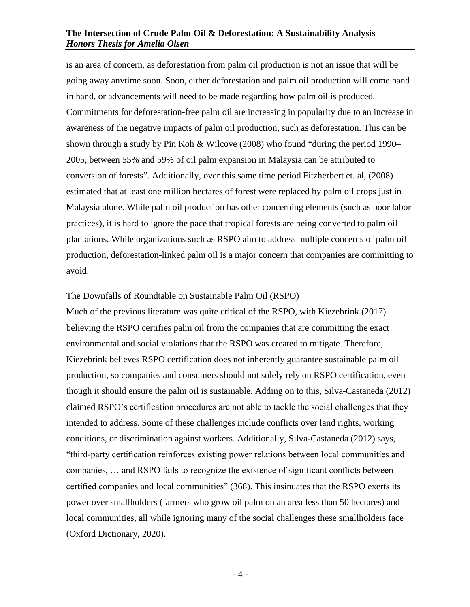is an area of concern, as deforestation from palm oil production is not an issue that will be going away anytime soon. Soon, either deforestation and palm oil production will come hand in hand, or advancements will need to be made regarding how palm oil is produced. Commitments for deforestation-free palm oil are increasing in popularity due to an increase in awareness of the negative impacts of palm oil production, such as deforestation. This can be shown through a study by Pin Koh & Wilcove (2008) who found "during the period 1990– 2005, between 55% and 59% of oil palm expansion in Malaysia can be attributed to conversion of forests". Additionally, over this same time period Fitzherbert et. al, (2008) estimated that at least one million hectares of forest were replaced by palm oil crops just in Malaysia alone. While palm oil production has other concerning elements (such as poor labor practices), it is hard to ignore the pace that tropical forests are being converted to palm oil plantations. While organizations such as RSPO aim to address multiple concerns of palm oil production, deforestation-linked palm oil is a major concern that companies are committing to avoid.

#### The Downfalls of Roundtable on Sustainable Palm Oil (RSPO)

Much of the previous literature was quite critical of the RSPO, with Kiezebrink (2017) believing the RSPO certifies palm oil from the companies that are committing the exact environmental and social violations that the RSPO was created to mitigate. Therefore, Kiezebrink believes RSPO certification does not inherently guarantee sustainable palm oil production, so companies and consumers should not solely rely on RSPO certification, even though it should ensure the palm oil is sustainable. Adding on to this, Silva-Castaneda (2012) claimed RSPO's certification procedures are not able to tackle the social challenges that they intended to address. Some of these challenges include conflicts over land rights, working conditions, or discrimination against workers. Additionally, Silva-Castaneda (2012) says, "third-party certification reinforces existing power relations between local communities and companies, … and RSPO fails to recognize the existence of significant conflicts between certified companies and local communities" (368). This insinuates that the RSPO exerts its power over smallholders (farmers who grow oil palm on an area less than 50 hectares) and local communities, all while ignoring many of the social challenges these smallholders face (Oxford Dictionary, 2020).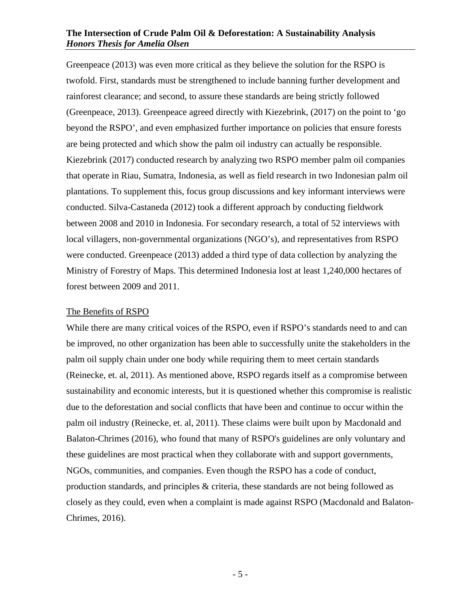Greenpeace (2013) was even more critical as they believe the solution for the RSPO is twofold. First, standards must be strengthened to include banning further development and rainforest clearance; and second, to assure these standards are being strictly followed (Greenpeace, 2013). Greenpeace agreed directly with Kiezebrink, (2017) on the point to 'go beyond the RSPO', and even emphasized further importance on policies that ensure forests are being protected and which show the palm oil industry can actually be responsible. Kiezebrink (2017) conducted research by analyzing two RSPO member palm oil companies that operate in Riau, Sumatra, Indonesia, as well as field research in two Indonesian palm oil plantations. To supplement this, focus group discussions and key informant interviews were conducted. Silva-Castaneda (2012) took a different approach by conducting fieldwork between 2008 and 2010 in Indonesia. For secondary research, a total of 52 interviews with local villagers, non-governmental organizations (NGO's), and representatives from RSPO were conducted. Greenpeace (2013) added a third type of data collection by analyzing the Ministry of Forestry of Maps. This determined Indonesia lost at least 1,240,000 hectares of forest between 2009 and 2011.

#### <span id="page-6-0"></span>The Benefits of RSPO

While there are many critical voices of the RSPO, even if RSPO's standards need to and can be improved, no other organization has been able to successfully unite the stakeholders in the palm oil supply chain under one body while requiring them to meet certain standards (Reinecke, et. al, 2011). As mentioned above, RSPO regards itself as a compromise between sustainability and economic interests, but it is questioned whether this compromise is realistic due to the deforestation and social conflicts that have been and continue to occur within the palm oil industry (Reinecke, et. al, 2011). These claims were built upon by Macdonald and Balaton-Chrimes (2016), who found that many of RSPO's guidelines are only voluntary and these guidelines are most practical when they collaborate with and support governments, NGOs, communities, and companies. Even though the RSPO has a code of conduct, production standards, and principles & criteria, these standards are not being followed as closely as they could, even when a complaint is made against RSPO (Macdonald and Balaton-Chrimes, 2016).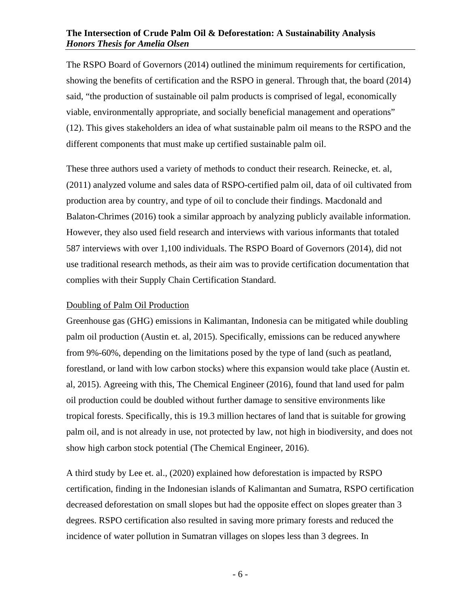The RSPO Board of Governors (2014) outlined the minimum requirements for certification, showing the benefits of certification and the RSPO in general. Through that, the board (2014) said, "the production of sustainable oil palm products is comprised of legal, economically viable, environmentally appropriate, and socially beneficial management and operations" (12). This gives stakeholders an idea of what sustainable palm oil means to the RSPO and the different components that must make up certified sustainable palm oil.

These three authors used a variety of methods to conduct their research. Reinecke, et. al, (2011) analyzed volume and sales data of RSPO-certified palm oil, data of oil cultivated from production area by country, and type of oil to conclude their findings. Macdonald and Balaton-Chrimes (2016) took a similar approach by analyzing publicly available information. However, they also used field research and interviews with various informants that totaled 587 interviews with over 1,100 individuals. The RSPO Board of Governors (2014), did not use traditional research methods, as their aim was to provide certification documentation that complies with their Supply Chain Certification Standard.

## <span id="page-7-0"></span>Doubling of Palm Oil Production

Greenhouse gas (GHG) emissions in Kalimantan, Indonesia can be mitigated while doubling palm oil production (Austin et. al, 2015). Specifically, emissions can be reduced anywhere from 9%-60%, depending on the limitations posed by the type of land (such as peatland, forestland, or land with low carbon stocks) where this expansion would take place (Austin et. al, 2015). Agreeing with this, The Chemical Engineer (2016), found that land used for palm oil production could be doubled without further damage to sensitive environments like tropical forests. Specifically, this is 19.3 million hectares of land that is suitable for growing palm oil, and is not already in use, not protected by law, not high in biodiversity, and does not show high carbon stock potential (The Chemical Engineer, 2016).

A third study by Lee et. al., (2020) explained how deforestation is impacted by RSPO certification, finding in the Indonesian islands of Kalimantan and Sumatra, RSPO certification decreased deforestation on small slopes but had the opposite effect on slopes greater than 3 degrees. RSPO certification also resulted in saving more primary forests and reduced the incidence of water pollution in Sumatran villages on slopes less than 3 degrees. In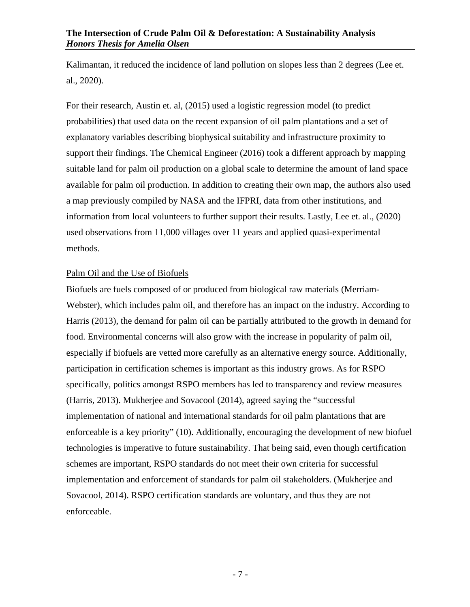Kalimantan, it reduced the incidence of land pollution on slopes less than 2 degrees (Lee et. al., 2020).

For their research, Austin et. al, (2015) used a logistic regression model (to predict probabilities) that used data on the recent expansion of oil palm plantations and a set of explanatory variables describing biophysical suitability and infrastructure proximity to support their findings. The Chemical Engineer (2016) took a different approach by mapping suitable land for palm oil production on a global scale to determine the amount of land space available for palm oil production. In addition to creating their own map, the authors also used a map previously compiled by NASA and the IFPRI, data from other institutions, and information from local volunteers to further support their results. Lastly, Lee et. al., (2020) used observations from 11,000 villages over 11 years and applied quasi-experimental methods.

## <span id="page-8-0"></span>Palm Oil and the Use of Biofuels

Biofuels are fuels composed of or produced from biological raw materials (Merriam-Webster), which includes palm oil, and therefore has an impact on the industry. According to Harris (2013), the demand for palm oil can be partially attributed to the growth in demand for food. Environmental concerns will also grow with the increase in popularity of palm oil, especially if biofuels are vetted more carefully as an alternative energy source. Additionally, participation in certification schemes is important as this industry grows. As for RSPO specifically, politics amongst RSPO members has led to transparency and review measures (Harris, 2013). Mukherjee and Sovacool (2014), agreed saying the "successful implementation of national and international standards for oil palm plantations that are enforceable is a key priority" (10). Additionally, encouraging the development of new biofuel technologies is imperative to future sustainability. That being said, even though certification schemes are important, RSPO standards do not meet their own criteria for successful implementation and enforcement of standards for palm oil stakeholders. (Mukherjee and Sovacool, 2014). RSPO certification standards are voluntary, and thus they are not enforceable.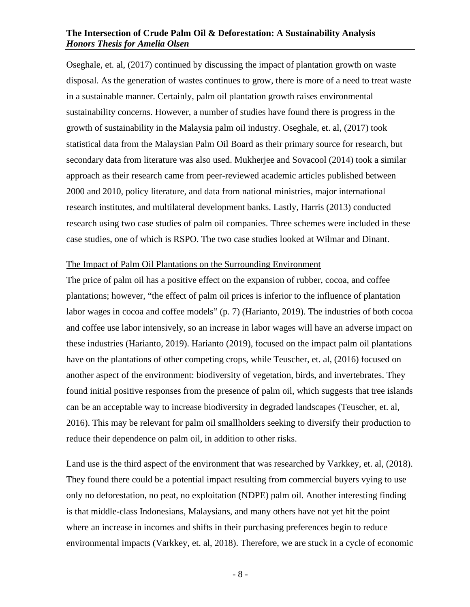Oseghale, et. al, (2017) continued by discussing the impact of plantation growth on waste disposal. As the generation of wastes continues to grow, there is more of a need to treat waste in a sustainable manner. Certainly, palm oil plantation growth raises environmental sustainability concerns. However, a number of studies have found there is progress in the growth of sustainability in the Malaysia palm oil industry. Oseghale, et. al, (2017) took statistical data from the Malaysian Palm Oil Board as their primary source for research, but secondary data from literature was also used. Mukherjee and Sovacool (2014) took a similar approach as their research came from peer-reviewed academic articles published between 2000 and 2010, policy literature, and data from national ministries, major international research institutes, and multilateral development banks. Lastly, Harris (2013) conducted research using two case studies of palm oil companies. Three schemes were included in these case studies, one of which is RSPO. The two case studies looked at Wilmar and Dinant.

#### <span id="page-9-0"></span>The Impact of Palm Oil Plantations on the Surrounding Environment

The price of palm oil has a positive effect on the expansion of rubber, cocoa, and coffee plantations; however, "the effect of palm oil prices is inferior to the influence of plantation labor wages in cocoa and coffee models" (p. 7) (Harianto, 2019). The industries of both cocoa and coffee use labor intensively, so an increase in labor wages will have an adverse impact on these industries (Harianto, 2019). Harianto (2019), focused on the impact palm oil plantations have on the plantations of other competing crops, while Teuscher, et. al, (2016) focused on another aspect of the environment: biodiversity of vegetation, birds, and invertebrates. They found initial positive responses from the presence of palm oil, which suggests that tree islands can be an acceptable way to increase biodiversity in degraded landscapes (Teuscher, et. al, 2016). This may be relevant for palm oil smallholders seeking to diversify their production to reduce their dependence on palm oil, in addition to other risks.

Land use is the third aspect of the environment that was researched by Varkkey, et. al, (2018). They found there could be a potential impact resulting from commercial buyers vying to use only no deforestation, no peat, no exploitation (NDPE) palm oil. Another interesting finding is that middle-class Indonesians, Malaysians, and many others have not yet hit the point where an increase in incomes and shifts in their purchasing preferences begin to reduce environmental impacts (Varkkey, et. al, 2018). Therefore, we are stuck in a cycle of economic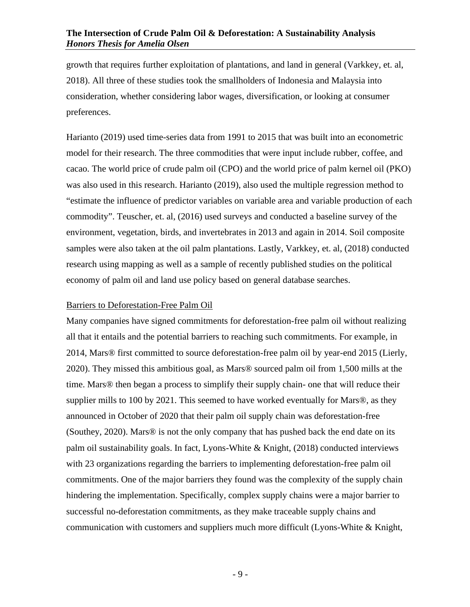growth that requires further exploitation of plantations, and land in general (Varkkey, et. al, 2018). All three of these studies took the smallholders of Indonesia and Malaysia into consideration, whether considering labor wages, diversification, or looking at consumer preferences.

Harianto (2019) used time-series data from 1991 to 2015 that was built into an econometric model for their research. The three commodities that were input include rubber, coffee, and cacao. The world price of crude palm oil (CPO) and the world price of palm kernel oil (PKO) was also used in this research. Harianto (2019), also used the multiple regression method to "estimate the influence of predictor variables on variable area and variable production of each commodity". Teuscher, et. al, (2016) used surveys and conducted a baseline survey of the environment, vegetation, birds, and invertebrates in 2013 and again in 2014. Soil composite samples were also taken at the oil palm plantations. Lastly, Varkkey, et. al, (2018) conducted research using mapping as well as a sample of recently published studies on the political economy of palm oil and land use policy based on general database searches.

#### <span id="page-10-0"></span>Barriers to Deforestation-Free Palm Oil

Many companies have signed commitments for deforestation-free palm oil without realizing all that it entails and the potential barriers to reaching such commitments. For example, in 2014, Mars® first committed to source deforestation-free palm oil by year-end 2015 (Lierly, 2020). They missed this ambitious goal, as Mars® sourced palm oil from 1,500 mills at the time. Mars® then began a process to simplify their supply chain- one that will reduce their supplier mills to 100 by 2021. This seemed to have worked eventually for Mars®, as they announced in October of 2020 that their palm oil supply chain was deforestation-free (Southey, 2020). Mars® is not the only company that has pushed back the end date on its palm oil sustainability goals. In fact, Lyons-White & Knight, (2018) conducted interviews with 23 organizations regarding the barriers to implementing deforestation-free palm oil commitments. One of the major barriers they found was the complexity of the supply chain hindering the implementation. Specifically, complex supply chains were a major barrier to successful no-deforestation commitments, as they make traceable supply chains and communication with customers and suppliers much more difficult (Lyons-White & Knight,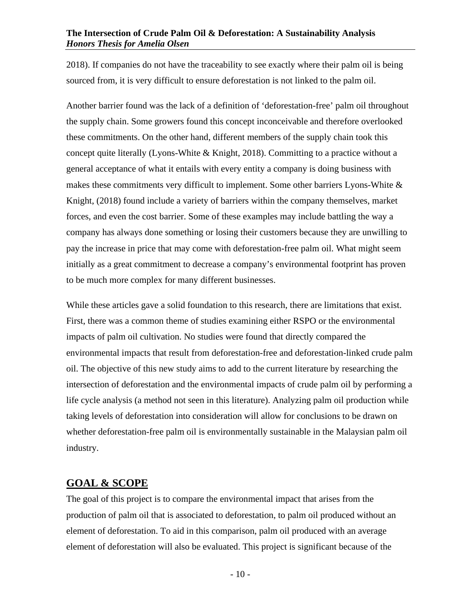2018). If companies do not have the traceability to see exactly where their palm oil is being sourced from, it is very difficult to ensure deforestation is not linked to the palm oil.

Another barrier found was the lack of a definition of 'deforestation-free' palm oil throughout the supply chain. Some growers found this concept inconceivable and therefore overlooked these commitments. On the other hand, different members of the supply chain took this concept quite literally (Lyons-White & Knight, 2018). Committing to a practice without a general acceptance of what it entails with every entity a company is doing business with makes these commitments very difficult to implement. Some other barriers Lyons-White & Knight, (2018) found include a variety of barriers within the company themselves, market forces, and even the cost barrier. Some of these examples may include battling the way a company has always done something or losing their customers because they are unwilling to pay the increase in price that may come with deforestation-free palm oil. What might seem initially as a great commitment to decrease a company's environmental footprint has proven to be much more complex for many different businesses.

While these articles gave a solid foundation to this research, there are limitations that exist. First, there was a common theme of studies examining either RSPO or the environmental impacts of palm oil cultivation. No studies were found that directly compared the environmental impacts that result from deforestation-free and deforestation-linked crude palm oil. The objective of this new study aims to add to the current literature by researching the intersection of deforestation and the environmental impacts of crude palm oil by performing a life cycle analysis (a method not seen in this literature). Analyzing palm oil production while taking levels of deforestation into consideration will allow for conclusions to be drawn on whether deforestation-free palm oil is environmentally sustainable in the Malaysian palm oil industry.

## <span id="page-11-0"></span>**GOAL & SCOPE**

The goal of this project is to compare the environmental impact that arises from the production of palm oil that is associated to deforestation, to palm oil produced without an element of deforestation. To aid in this comparison, palm oil produced with an average element of deforestation will also be evaluated. This project is significant because of the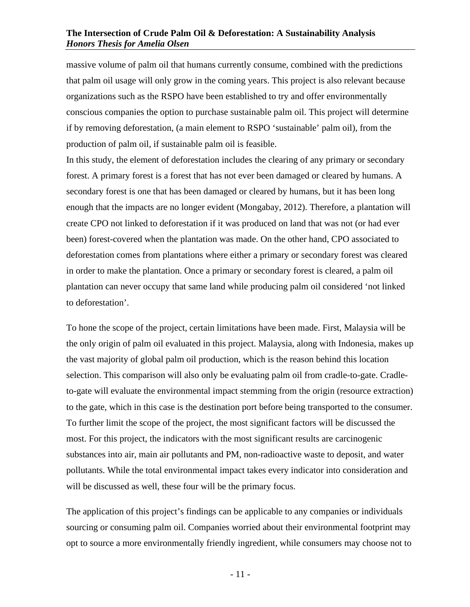massive volume of palm oil that humans currently consume, combined with the predictions that palm oil usage will only grow in the coming years. This project is also relevant because organizations such as the RSPO have been established to try and offer environmentally conscious companies the option to purchase sustainable palm oil. This project will determine if by removing deforestation, (a main element to RSPO 'sustainable' palm oil), from the production of palm oil, if sustainable palm oil is feasible.

In this study, the element of deforestation includes the clearing of any primary or secondary forest. A primary forest is a forest that has not ever been damaged or cleared by humans. A secondary forest is one that has been damaged or cleared by humans, but it has been long enough that the impacts are no longer evident (Mongabay, 2012). Therefore, a plantation will create CPO not linked to deforestation if it was produced on land that was not (or had ever been) forest-covered when the plantation was made. On the other hand, CPO associated to deforestation comes from plantations where either a primary or secondary forest was cleared in order to make the plantation. Once a primary or secondary forest is cleared, a palm oil plantation can never occupy that same land while producing palm oil considered 'not linked to deforestation'.

To hone the scope of the project, certain limitations have been made. First, Malaysia will be the only origin of palm oil evaluated in this project. Malaysia, along with Indonesia, makes up the vast majority of global palm oil production, which is the reason behind this location selection. This comparison will also only be evaluating palm oil from cradle-to-gate. Cradleto-gate will evaluate the environmental impact stemming from the origin (resource extraction) to the gate, which in this case is the destination port before being transported to the consumer. To further limit the scope of the project, the most significant factors will be discussed the most. For this project, the indicators with the most significant results are carcinogenic substances into air, main air pollutants and PM, non-radioactive waste to deposit, and water pollutants. While the total environmental impact takes every indicator into consideration and will be discussed as well, these four will be the primary focus.

The application of this project's findings can be applicable to any companies or individuals sourcing or consuming palm oil. Companies worried about their environmental footprint may opt to source a more environmentally friendly ingredient, while consumers may choose not to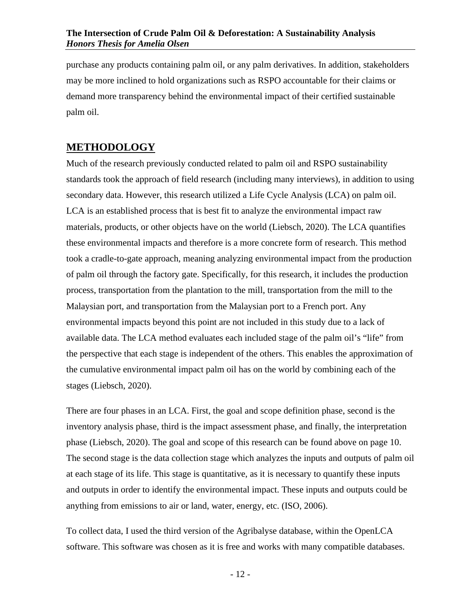purchase any products containing palm oil, or any palm derivatives. In addition, stakeholders may be more inclined to hold organizations such as RSPO accountable for their claims or demand more transparency behind the environmental impact of their certified sustainable palm oil.

## <span id="page-13-0"></span>**METHODOLOGY**

Much of the research previously conducted related to palm oil and RSPO sustainability standards took the approach of field research (including many interviews), in addition to using secondary data. However, this research utilized a Life Cycle Analysis (LCA) on palm oil. LCA is an established process that is best fit to analyze the environmental impact raw materials, products, or other objects have on the world (Liebsch, 2020). The LCA quantifies these environmental impacts and therefore is a more concrete form of research. This method took a cradle-to-gate approach, meaning analyzing environmental impact from the production of palm oil through the factory gate. Specifically, for this research, it includes the production process, transportation from the plantation to the mill, transportation from the mill to the Malaysian port, and transportation from the Malaysian port to a French port. Any environmental impacts beyond this point are not included in this study due to a lack of available data. The LCA method evaluates each included stage of the palm oil's "life" from the perspective that each stage is independent of the others. This enables the approximation of the cumulative environmental impact palm oil has on the world by combining each of the stages (Liebsch, 2020).

There are four phases in an LCA. First, the goal and scope definition phase, second is the inventory analysis phase, third is the impact assessment phase, and finally, the interpretation phase (Liebsch, 2020). The goal and scope of this research can be found above on page 10. The second stage is the data collection stage which analyzes the inputs and outputs of palm oil at each stage of its life. This stage is quantitative, as it is necessary to quantify these inputs and outputs in order to identify the environmental impact. These inputs and outputs could be anything from emissions to air or land, water, energy, etc. (ISO, 2006).

To collect data, I used the third version of the Agribalyse database, within the OpenLCA software. This software was chosen as it is free and works with many compatible databases.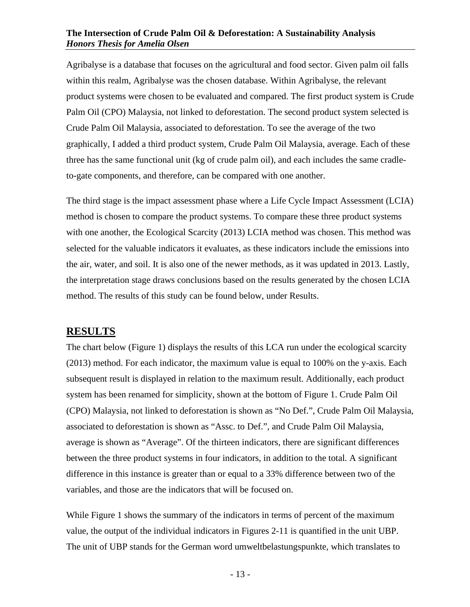Agribalyse is a database that focuses on the agricultural and food sector. Given palm oil falls within this realm, Agribalyse was the chosen database. Within Agribalyse, the relevant product systems were chosen to be evaluated and compared. The first product system is Crude Palm Oil (CPO) Malaysia, not linked to deforestation. The second product system selected is Crude Palm Oil Malaysia, associated to deforestation. To see the average of the two graphically, I added a third product system, Crude Palm Oil Malaysia, average. Each of these three has the same functional unit (kg of crude palm oil), and each includes the same cradleto-gate components, and therefore, can be compared with one another.

The third stage is the impact assessment phase where a Life Cycle Impact Assessment (LCIA) method is chosen to compare the product systems. To compare these three product systems with one another, the Ecological Scarcity (2013) LCIA method was chosen. This method was selected for the valuable indicators it evaluates, as these indicators include the emissions into the air, water, and soil. It is also one of the newer methods, as it was updated in 2013. Lastly, the interpretation stage draws conclusions based on the results generated by the chosen LCIA method. The results of this study can be found below, under Results.

## <span id="page-14-0"></span>**RESULTS**

The chart below (Figure 1) displays the results of this LCA run under the ecological scarcity (2013) method. For each indicator, the maximum value is equal to 100% on the y-axis. Each subsequent result is displayed in relation to the maximum result. Additionally, each product system has been renamed for simplicity, shown at the bottom of Figure 1. Crude Palm Oil (CPO) Malaysia, not linked to deforestation is shown as "No Def.", Crude Palm Oil Malaysia, associated to deforestation is shown as "Assc. to Def.", and Crude Palm Oil Malaysia, average is shown as "Average". Of the thirteen indicators, there are significant differences between the three product systems in four indicators, in addition to the total. A significant difference in this instance is greater than or equal to a 33% difference between two of the variables, and those are the indicators that will be focused on.

While Figure 1 shows the summary of the indicators in terms of percent of the maximum value, the output of the individual indicators in Figures 2-11 is quantified in the unit UBP. The unit of UBP stands for the German word umweltbelastungspunkte, which translates to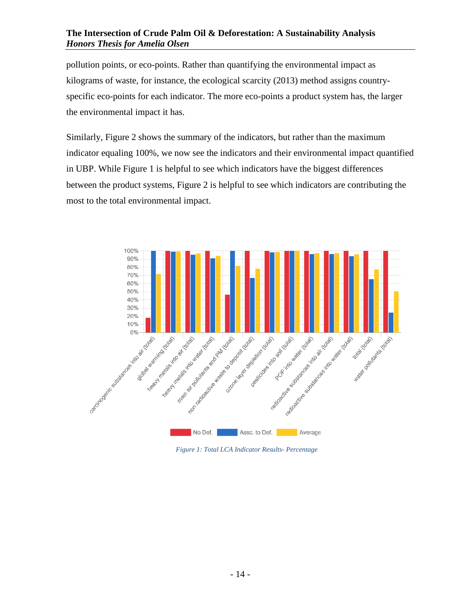pollution points, or eco-points. Rather than quantifying the environmental impact as kilograms of waste, for instance, the ecological scarcity (2013) method assigns countryspecific eco-points for each indicator. The more eco-points a product system has, the larger the environmental impact it has.

Similarly, Figure 2 shows the summary of the indicators, but rather than the maximum indicator equaling 100%, we now see the indicators and their environmental impact quantified in UBP. While Figure 1 is helpful to see which indicators have the biggest differences between the product systems, Figure 2 is helpful to see which indicators are contributing the most to the total environmental impact.



*Figure 1: Total LCA Indicator Results- Percentage*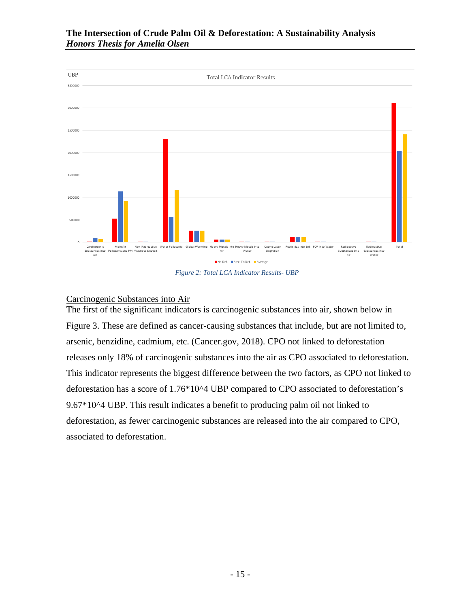

*Figure 2: Total LCA Indicator Results- UBP*

## <span id="page-16-0"></span>Carcinogenic Substances into Air

The first of the significant indicators is carcinogenic substances into air, shown below in Figure 3. These are defined as cancer-causing substances that include, but are not limited to, arsenic, benzidine, cadmium, etc. (Cancer.gov, 2018). CPO not linked to deforestation releases only 18% of carcinogenic substances into the air as CPO associated to deforestation. This indicator represents the biggest difference between the two factors, as CPO not linked to deforestation has a score of 1.76\*10^4 UBP compared to CPO associated to deforestation's 9.67\*10^4 UBP. This result indicates a benefit to producing palm oil not linked to deforestation, as fewer carcinogenic substances are released into the air compared to CPO, associated to deforestation.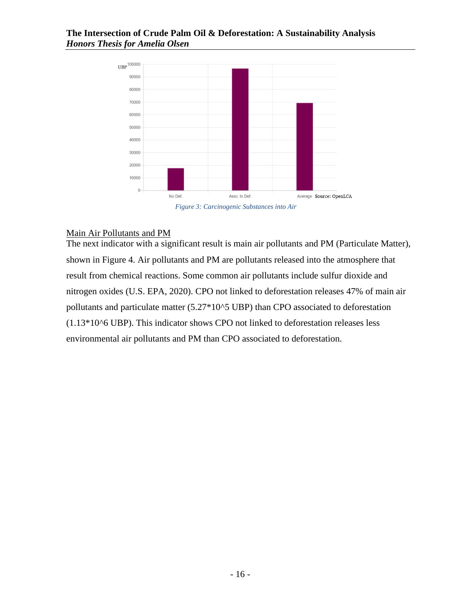

## <span id="page-17-0"></span>Main Air Pollutants and PM

The next indicator with a significant result is main air pollutants and PM (Particulate Matter), shown in Figure 4. Air pollutants and PM are pollutants released into the atmosphere that result from chemical reactions. Some common air pollutants include sulfur dioxide and nitrogen oxides (U.S. EPA, 2020). CPO not linked to deforestation releases 47% of main air pollutants and particulate matter (5.27\*10^5 UBP) than CPO associated to deforestation  $(1.13*10<sup>6</sup> UBP)$ . This indicator shows CPO not linked to deforestation releases less environmental air pollutants and PM than CPO associated to deforestation.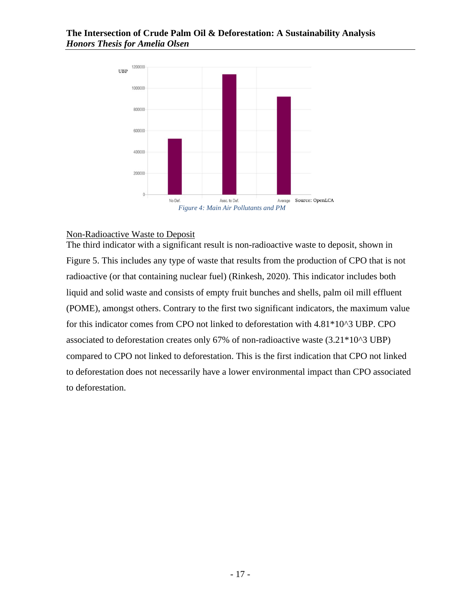

#### <span id="page-18-0"></span>Non-Radioactive Waste to Deposit

The third indicator with a significant result is non-radioactive waste to deposit, shown in Figure 5. This includes any type of waste that results from the production of CPO that is not radioactive (or that containing nuclear fuel) (Rinkesh, 2020). This indicator includes both liquid and solid waste and consists of empty fruit bunches and shells, palm oil mill effluent (POME), amongst others. Contrary to the first two significant indicators, the maximum value for this indicator comes from CPO not linked to deforestation with 4.81\*10^3 UBP. CPO associated to deforestation creates only 67% of non-radioactive waste (3.21\*10^3 UBP) compared to CPO not linked to deforestation. This is the first indication that CPO not linked to deforestation does not necessarily have a lower environmental impact than CPO associated to deforestation.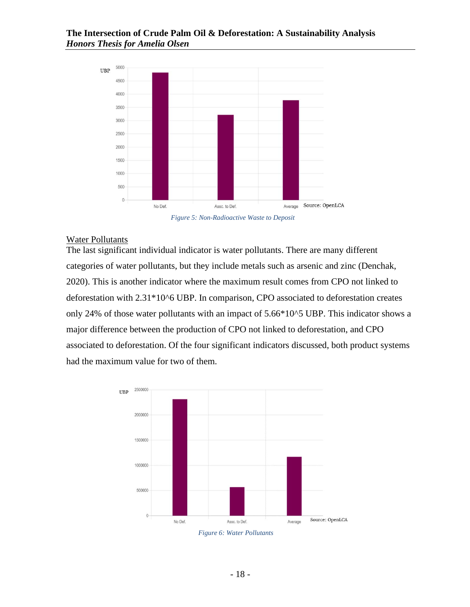

*Figure 5: Non-Radioactive Waste to Deposit*

#### <span id="page-19-0"></span>Water Pollutants

The last significant individual indicator is water pollutants. There are many different categories of water pollutants, but they include metals such as arsenic and zinc (Denchak, 2020). This is another indicator where the maximum result comes from CPO not linked to deforestation with 2.31\*10^6 UBP. In comparison, CPO associated to deforestation creates only 24% of those water pollutants with an impact of 5.66\*10^5 UBP. This indicator shows a major difference between the production of CPO not linked to deforestation, and CPO associated to deforestation. Of the four significant indicators discussed, both product systems had the maximum value for two of them.



*Figure 6: Water Pollutants*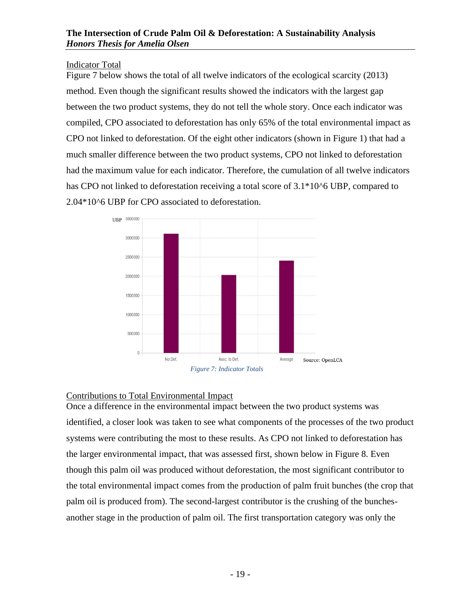<span id="page-20-0"></span>Indicator Total

Figure 7 below shows the total of all twelve indicators of the ecological scarcity (2013) method. Even though the significant results showed the indicators with the largest gap between the two product systems, they do not tell the whole story. Once each indicator was compiled, CPO associated to deforestation has only 65% of the total environmental impact as CPO not linked to deforestation. Of the eight other indicators (shown in Figure 1) that had a much smaller difference between the two product systems, CPO not linked to deforestation had the maximum value for each indicator. Therefore, the cumulation of all twelve indicators has CPO not linked to deforestation receiving a total score of  $3.1*10<sup>6</sup>$  UBP, compared to 2.04\*10^6 UBP for CPO associated to deforestation.



## <span id="page-20-1"></span>Contributions to Total Environmental Impact

Once a difference in the environmental impact between the two product systems was identified, a closer look was taken to see what components of the processes of the two product systems were contributing the most to these results. As CPO not linked to deforestation has the larger environmental impact, that was assessed first, shown below in Figure 8. Even though this palm oil was produced without deforestation, the most significant contributor to the total environmental impact comes from the production of palm fruit bunches (the crop that palm oil is produced from). The second-largest contributor is the crushing of the bunchesanother stage in the production of palm oil. The first transportation category was only the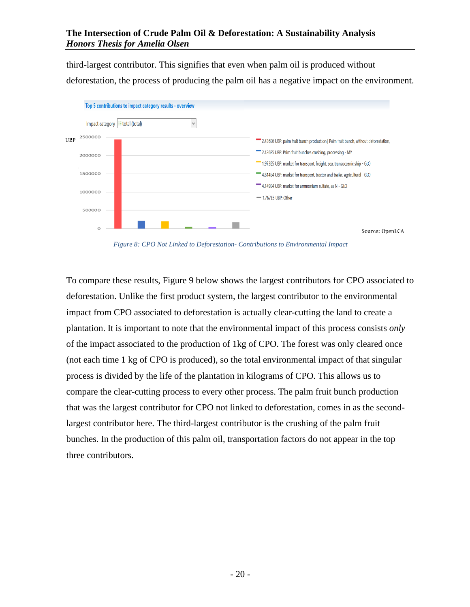third-largest contributor. This signifies that even when palm oil is produced without deforestation, the process of producing the palm oil has a negative impact on the environment.



*Figure 8: CPO Not Linked to Deforestation- Contributions to Environmental Impact*

To compare these results, Figure 9 below shows the largest contributors for CPO associated to deforestation. Unlike the first product system, the largest contributor to the environmental impact from CPO associated to deforestation is actually clear-cutting the land to create a plantation. It is important to note that the environmental impact of this process consists *only* of the impact associated to the production of 1kg of CPO. The forest was only cleared once (not each time 1 kg of CPO is produced), so the total environmental impact of that singular process is divided by the life of the plantation in kilograms of CPO. This allows us to compare the clear-cutting process to every other process. The palm fruit bunch production that was the largest contributor for CPO not linked to deforestation, comes in as the secondlargest contributor here. The third-largest contributor is the crushing of the palm fruit bunches. In the production of this palm oil, transportation factors do not appear in the top three contributors.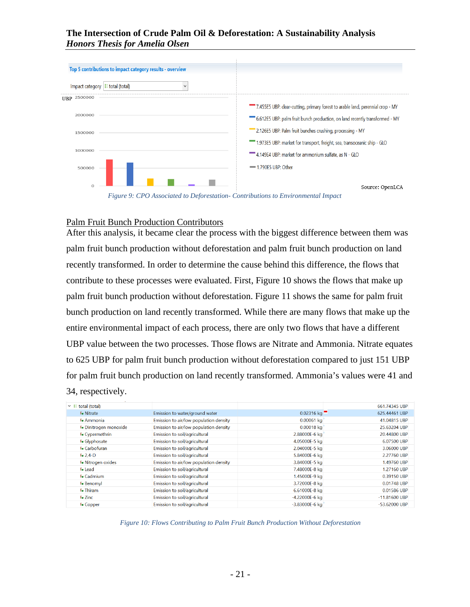|                                             | Top 5 contributions to impact category results - overview |                                                                                |  |
|---------------------------------------------|-----------------------------------------------------------|--------------------------------------------------------------------------------|--|
| Impact category $ \mathbf{E}$ total (total) |                                                           |                                                                                |  |
| 2500000<br>UBP                              |                                                           |                                                                                |  |
|                                             |                                                           | 7.455E5 UBP: clear-cutting, primary forest to arable land, perennial crop - MY |  |
| 2000000                                     |                                                           | 6.612E5 UBP: palm fruit bunch production, on land recently transformed - MY    |  |
| 1500000                                     |                                                           | 2.126E5 UBP: Palm fruit bunches crushing, processing - MY                      |  |
|                                             |                                                           | "1.973E5 UBP: market for transport, freight, sea, transoceanic ship - GLO      |  |
| 1000000                                     |                                                           | 4.149E4 UBP: market for ammonium sulfate, as N - GLO                           |  |
| 500000                                      |                                                           | -1.790E5 UBP: Other                                                            |  |
|                                             |                                                           | Source: OpenLCA                                                                |  |

*Figure 9: CPO Associated to Deforestation- Contributions to Environmental Impact*

#### <span id="page-22-0"></span>Palm Fruit Bunch Production Contributors

After this analysis, it became clear the process with the biggest difference between them was palm fruit bunch production without deforestation and palm fruit bunch production on land recently transformed. In order to determine the cause behind this difference, the flows that contribute to these processes were evaluated. First, Figure 10 shows the flows that make up palm fruit bunch production without deforestation. Figure 11 shows the same for palm fruit bunch production on land recently transformed. While there are many flows that make up the entire environmental impact of each process, there are only two flows that have a different UBP value between the two processes. Those flows are Nitrate and Ammonia. Nitrate equates to 625 UBP for palm fruit bunch production without deforestation compared to just 151 UBP for palm fruit bunch production on land recently transformed. Ammonia's values were 41 and 34, respectively.

| $\vee$ i total (total)        |                                        |                  | 661.74345 UBP   |
|-------------------------------|----------------------------------------|------------------|-----------------|
| <b>F.</b> Nitrate             | Emission to water/ground water         | $0.02316$ kg     | 625.44461 UBP   |
| F. Ammonia                    | Emission to air/low population density | $0.00061$ kg     | 41.04815 UBP    |
| <b>F.</b> Dinitrogen monoxide | Emission to air/low population density | $0.00018$ kg     | 25.63204 UBP    |
| F. Cypermethrin               | Emission to soil/agricultural          | 2.88000E-6 kg    | 20.44800 UBP    |
| F. Glyphosate                 | Emission to soil/agricultural          | 4.05000E-5 kg    | 6.07500 UBP     |
| <b>F.</b> Carbofuran          | Emission to soil/agricultural          | 2.04000E-5 kg    | 3.06000 UBP     |
| $F0$ 2,4-D                    | Emission to soil/agricultural          | 5.84000E-6 kg    | 2.27760 UBP     |
| <b>F.</b> Nitrogen oxides     | Emission to air/low population density | 3.84000E-5 kg    | 1.49760 UBP     |
| F. Lead                       | Emission to soil/agricultural          | 7.48000E-8 kg    | 1.27160 UBP     |
| F. Cadmium                    | Emission to soil/agricultural          | 1.45000E-9 kg    | 0.39150 UBP     |
| <b>F</b> Benomyl              | Emission to soil/agricultural          | 3.72000E-8 kg    | 0.01748 UBP     |
| <b>F.</b> Thiram              | Emission to soil/agricultural          | 6.61000E-8 kg    | 0.01586 UBP     |
| F. Zinc                       | Emission to soil/agricultural          | $-4.22000E-6$ kg | $-11.81600$ UBP |
| <b>F.</b> Copper              | Emission to soil/agricultural          | -3.83000E-6 kg   | -53.62000 UBP   |

*Figure 10: Flows Contributing to Palm Fruit Bunch Production Without Deforestation*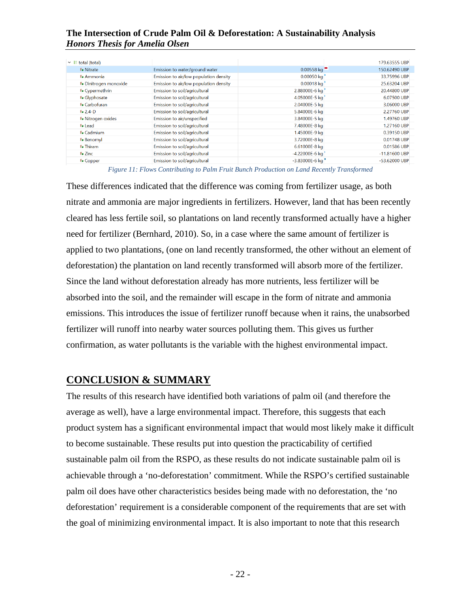| $\vee$ $\equiv$ total (total) |                                        |                    | 179.63555 UBP   |
|-------------------------------|----------------------------------------|--------------------|-----------------|
| <b>F.</b> Nitrate             | Emission to water/ground water         | $0.00558$ kg       | 150.62490 UBP   |
| F. Ammonia                    | Emission to air/low population density | 0.00050 kg         | 33.75996 UBP    |
| <b>F.</b> Dinitrogen monoxide | Emission to air/low population density | 0.00018 kg         | 25.63204 UBP    |
| F. Cypermethrin               | Emission to soil/agricultural          | 2.88000E-6 kg      | 20,44800 UBP    |
| <b>F</b> Glyphosate           | Emission to soil/agricultural          | 4.05000E-5 kg      | 6.07500 UBP     |
| F. Carbofuran                 | Emission to soil/agricultural          | 2.04000E-5 kg      | 3.06000 UBP     |
| $F0$ 2,4-D                    | Emission to soil/agricultural          | 5.84000E-6 kg      | 2.27760 UBP     |
| F. Nitrogen oxides            | Emission to air/unspecified            | 3.84000E-5 kg      | 1.49760 UBP     |
| Fo Lead                       | Emission to soil/agricultural          | 7.48000E-8 kg      | 1.27160 UBP     |
| <b>Fo</b> Cadmium             | Emission to soil/agricultural          | 1.45000E-9 kg      | 0.39150 UBP     |
| F. Benomyl                    | Emission to soil/agricultural          | 3.72000E-8 kg      | 0.01748 UBP     |
| <b>F.</b> Thiram              | Emission to soil/agricultural          | 6.61000E-8 kg      | 0.01586 UBP     |
| F. Zinc                       | Emission to soil/agricultural          | -4.22000E-6 kg     | $-11.81600$ UBP |
| F. Copper                     | Emission to soil/agricultural          | $-3.83000E - 6$ kg | $-53.62000$ UBP |
|                               |                                        |                    |                 |

*Figure 11: Flows Contributing to Palm Fruit Bunch Production on Land Recently Transformed*

These differences indicated that the difference was coming from fertilizer usage, as both nitrate and ammonia are major ingredients in fertilizers. However, land that has been recently cleared has less fertile soil, so plantations on land recently transformed actually have a higher need for fertilizer (Bernhard, 2010). So, in a case where the same amount of fertilizer is applied to two plantations, (one on land recently transformed, the other without an element of deforestation) the plantation on land recently transformed will absorb more of the fertilizer. Since the land without deforestation already has more nutrients, less fertilizer will be absorbed into the soil, and the remainder will escape in the form of nitrate and ammonia emissions. This introduces the issue of fertilizer runoff because when it rains, the unabsorbed fertilizer will runoff into nearby water sources polluting them. This gives us further confirmation, as water pollutants is the variable with the highest environmental impact.

## <span id="page-23-0"></span>**CONCLUSION & SUMMARY**

The results of this research have identified both variations of palm oil (and therefore the average as well), have a large environmental impact. Therefore, this suggests that each product system has a significant environmental impact that would most likely make it difficult to become sustainable. These results put into question the practicability of certified sustainable palm oil from the RSPO, as these results do not indicate sustainable palm oil is achievable through a 'no-deforestation' commitment. While the RSPO's certified sustainable palm oil does have other characteristics besides being made with no deforestation, the 'no deforestation' requirement is a considerable component of the requirements that are set with the goal of minimizing environmental impact. It is also important to note that this research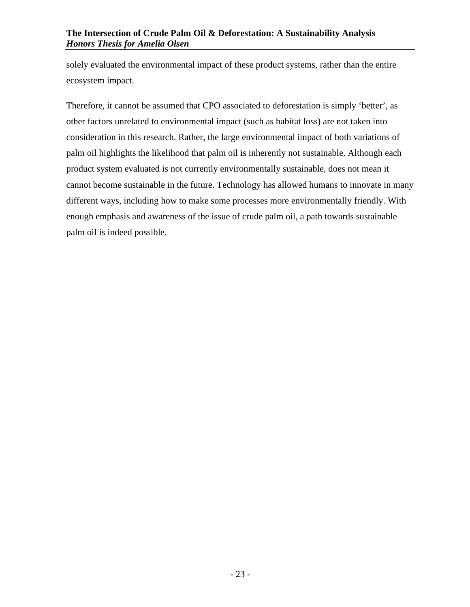solely evaluated the environmental impact of these product systems, rather than the entire ecosystem impact.

<span id="page-24-0"></span>Therefore, it cannot be assumed that CPO associated to deforestation is simply 'better', as other factors unrelated to environmental impact (such as habitat loss) are not taken into consideration in this research. Rather, the large environmental impact of both variations of palm oil highlights the likelihood that palm oil is inherently not sustainable. Although each product system evaluated is not currently environmentally sustainable, does not mean it cannot become sustainable in the future. Technology has allowed humans to innovate in many different ways, including how to make some processes more environmentally friendly. With enough emphasis and awareness of the issue of crude palm oil, a path towards sustainable palm oil is indeed possible.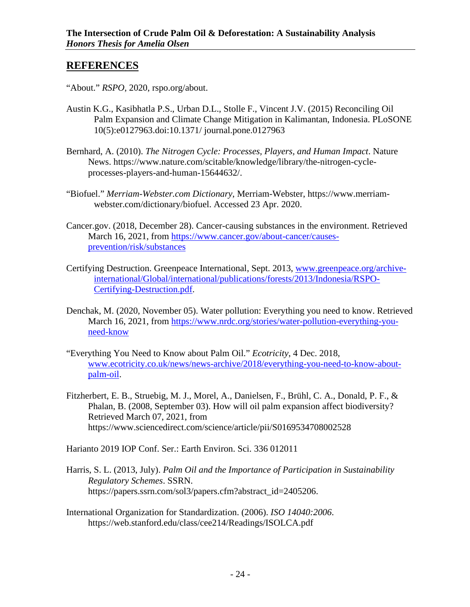## **REFERENCES**

- "About." *RSPO*, 2020, rspo.org/about.
- Austin K.G., Kasibhatla P.S., Urban D.L., Stolle F., Vincent J.V. (2015) Reconciling Oil Palm Expansion and Climate Change Mitigation in Kalimantan, Indonesia. PLoSONE 10(5):e0127963.doi:10.1371/ journal.pone.0127963
- Bernhard, A. (2010). *The Nitrogen Cycle: Processes, Players, and Human Impact*. Nature News. https://www.nature.com/scitable/knowledge/library/the-nitrogen-cycleprocesses-players-and-human-15644632/.
- "Biofuel." *Merriam-Webster.com Dictionary*, Merriam-Webster, https://www.merriamwebster.com/dictionary/biofuel. Accessed 23 Apr. 2020.
- Cancer.gov. (2018, December 28). Cancer-causing substances in the environment. Retrieved March 16, 2021, from [https://www.cancer.gov/about-cancer/causes](https://www.cancer.gov/about-cancer/causes-prevention/risk/substances)[prevention/risk/substances](https://www.cancer.gov/about-cancer/causes-prevention/risk/substances)
- Certifying Destruction. Greenpeace International, Sept. 2013, [www.greenpeace.org/archive](http://www.greenpeace.org/archive-international/Global/international/publications/forests/2013/Indonesia/RSPO-Certifying-Destruction.pdf)[international/Global/international/publications/forests/2013/Indonesia/RSPO-](http://www.greenpeace.org/archive-international/Global/international/publications/forests/2013/Indonesia/RSPO-Certifying-Destruction.pdf)[Certifying-Destruction.pdf.](http://www.greenpeace.org/archive-international/Global/international/publications/forests/2013/Indonesia/RSPO-Certifying-Destruction.pdf)
- Denchak, M. (2020, November 05). Water pollution: Everything you need to know. Retrieved March 16, 2021, from [https://www.nrdc.org/stories/water-pollution-everything-you](https://www.nrdc.org/stories/water-pollution-everything-you-need-know)[need-know](https://www.nrdc.org/stories/water-pollution-everything-you-need-know)
- "Everything You Need to Know about Palm Oil." *Ecotricity*, 4 Dec. 2018, [www.ecotricity.co.uk/news/news-archive/2018/everything-you-need-to-know-about](http://www.ecotricity.co.uk/news/news-archive/2018/everything-you-need-to-know-about-palm-oil)[palm-oil.](http://www.ecotricity.co.uk/news/news-archive/2018/everything-you-need-to-know-about-palm-oil)
- Fitzherbert, E. B., Struebig, M. J., Morel, A., Danielsen, F., Brühl, C. A., Donald, P. F., & Phalan, B. (2008, September 03). How will oil palm expansion affect biodiversity? Retrieved March 07, 2021, from https://www.sciencedirect.com/science/article/pii/S0169534708002528

Harianto 2019 IOP Conf. Ser.: Earth Environ. Sci. 336 012011

- Harris, S. L. (2013, July). *Palm Oil and the Importance of Participation in Sustainability Regulatory Schemes*. SSRN. https://papers.ssrn.com/sol3/papers.cfm?abstract\_id=2405206.
- International Organization for Standardization. (2006). *ISO 14040:2006*. <https://web.stanford.edu/class/cee214/Readings/ISOLCA.pdf>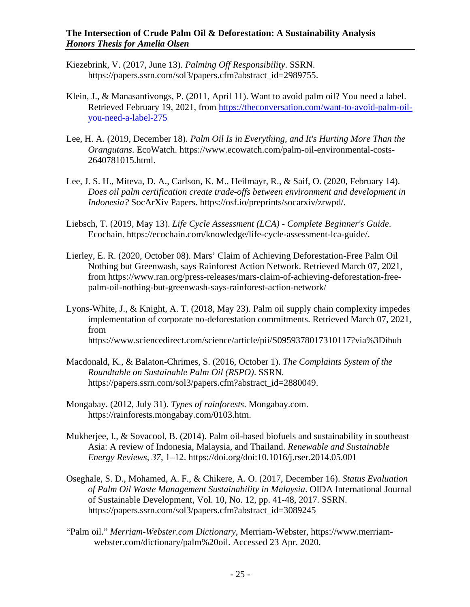- Kiezebrink, V. (2017, June 13). *Palming Off Responsibility*. SSRN. https://papers.ssrn.com/sol3/papers.cfm?abstract\_id=2989755.
- Klein, J., & Manasantivongs, P. (2011, April 11). Want to avoid palm oil? You need a label. Retrieved February 19, 2021, from [https://theconversation.com/want-to-avoid-palm-oil](https://theconversation.com/want-to-avoid-palm-oil-you-need-a-label-275)[you-need-a-label-275](https://theconversation.com/want-to-avoid-palm-oil-you-need-a-label-275)
- Lee, H. A. (2019, December 18). *Palm Oil Is in Everything, and It's Hurting More Than the Orangutans*. EcoWatch. https://www.ecowatch.com/palm-oil-environmental-costs-2640781015.html.
- Lee, J. S. H., Miteva, D. A., Carlson, K. M., Heilmayr, R., & Saif, O. (2020, February 14). *Does oil palm certification create trade-offs between environment and development in Indonesia?* SocArXiv Papers. https://osf.io/preprints/socarxiv/zrwpd/.
- Liebsch, T. (2019, May 13). *Life Cycle Assessment (LCA) - Complete Beginner's Guide*. Ecochain. https://ecochain.com/knowledge/life-cycle-assessment-lca-guide/.
- Lierley, E. R. (2020, October 08). Mars' Claim of Achieving Deforestation-Free Palm Oil Nothing but Greenwash, says Rainforest Action Network. Retrieved March 07, 2021, from https://www.ran.org/press-releases/mars-claim-of-achieving-deforestation-freepalm-oil-nothing-but-greenwash-says-rainforest-action-network/
- Lyons-White, J., & Knight, A. T. (2018, May 23). Palm oil supply chain complexity impedes implementation of corporate no-deforestation commitments. Retrieved March 07, 2021, from https://www.sciencedirect.com/science/article/pii/S0959378017310117?via%3Dihub
- Macdonald, K., & Balaton-Chrimes, S. (2016, October 1). *The Complaints System of the Roundtable on Sustainable Palm Oil (RSPO)*. SSRN. https://papers.ssrn.com/sol3/papers.cfm?abstract\_id=2880049.
- Mongabay. (2012, July 31). *Types of rainforests*. Mongabay.com. https://rainforests.mongabay.com/0103.htm.
- Mukherjee, I., & Sovacool, B. (2014). Palm oil-based biofuels and sustainability in southeast Asia: A review of Indonesia, Malaysia, and Thailand. *Renewable and Sustainable Energy Reviews*, *37*, 1–12. https://doi.org/doi:10.1016/j.rser.2014.05.001
- Oseghale, S. D., Mohamed, A. F., & Chikere, A. O. (2017, December 16). *Status Evaluation of Palm Oil Waste Management Sustainability in Malaysia*. OIDA International Journal of Sustainable Development, Vol. 10, No. 12, pp. 41-48, 2017. SSRN. https://papers.ssrn.com/sol3/papers.cfm?abstract\_id=3089245
- "Palm oil." *Merriam-Webster.com Dictionary*, Merriam-Webster, https://www.merriamwebster.com/dictionary/palm%20oil. Accessed 23 Apr. 2020.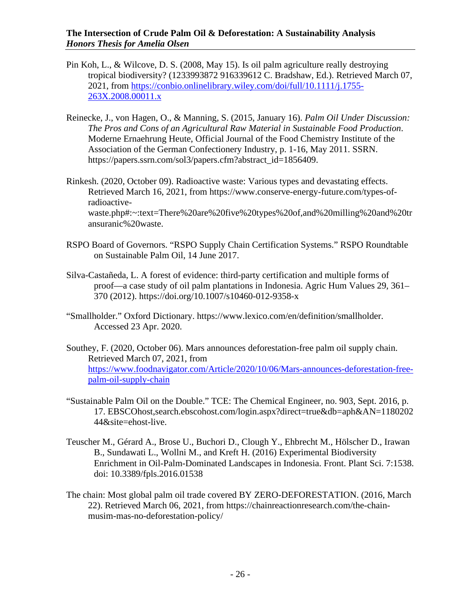- Pin Koh, L., & Wilcove, D. S. (2008, May 15). Is oil palm agriculture really destroying tropical biodiversity? (1233993872 916339612 C. Bradshaw, Ed.). Retrieved March 07, 2021, from [https://conbio.onlinelibrary.wiley.com/doi/full/10.1111/j.1755-](https://conbio.onlinelibrary.wiley.com/doi/full/10.1111/j.1755-263X.2008.00011.x) [263X.2008.00011.x](https://conbio.onlinelibrary.wiley.com/doi/full/10.1111/j.1755-263X.2008.00011.x)
- Reinecke, J., von Hagen, O., & Manning, S. (2015, January 16). *Palm Oil Under Discussion: The Pros and Cons of an Agricultural Raw Material in Sustainable Food Production*. Moderne Ernaehrung Heute, Official Journal of the Food Chemistry Institute of the Association of the German Confectionery Industry, p. 1-16, May 2011. SSRN. https://papers.ssrn.com/sol3/papers.cfm?abstract\_id=1856409.
- Rinkesh. (2020, October 09). Radioactive waste: Various types and devastating effects. Retrieved March 16, 2021, from https://www.conserve-energy-future.com/types-ofradioactivewaste.php#:~:text=There%20are%20five%20types%20of,and%20milling%20and%20tr ansuranic%20waste.
- RSPO Board of Governors. "RSPO Supply Chain Certification Systems." RSPO Roundtable on Sustainable Palm Oil, 14 June 2017.
- Silva-Castañeda, L. A forest of evidence: third-party certification and multiple forms of proof—a case study of oil palm plantations in Indonesia. Agric Hum Values 29, 361– 370 (2012). https://doi.org/10.1007/s10460-012-9358-x
- "Smallholder." Oxford Dictionary. [https://www.lexico.com/en/definition/smallholder.](https://www.lexico.com/en/definition/smallholder) Accessed 23 Apr. 2020.
- Southey, F. (2020, October 06). Mars announces deforestation-free palm oil supply chain. Retrieved March 07, 2021, from [https://www.foodnavigator.com/Article/2020/10/06/Mars-announces-deforestation-free](https://www.foodnavigator.com/Article/2020/10/06/Mars-announces-deforestation-free-palm-oil-supply-chain)[palm-oil-supply-chain](https://www.foodnavigator.com/Article/2020/10/06/Mars-announces-deforestation-free-palm-oil-supply-chain)
- "Sustainable Palm Oil on the Double." TCE: The Chemical Engineer, no. 903, Sept. 2016, p. 17. EBSCOhost,search.ebscohost.com/login.aspx?direct=true&db=aph&AN=1180202 44&site=ehost-live.
- Teuscher M., Gérard A., Brose U., Buchori D., Clough Y., Ehbrecht M., Hölscher D., Irawan B., Sundawati L., Wollni M., and Kreft H. (2016) Experimental Biodiversity Enrichment in Oil-Palm-Dominated Landscapes in Indonesia. Front. Plant Sci. 7:1538. doi: 10.3389/fpls.2016.01538
- The chain: Most global palm oil trade covered BY ZERO-DEFORESTATION. (2016, March 22). Retrieved March 06, 2021, from https://chainreactionresearch.com/the-chainmusim-mas-no-deforestation-policy/